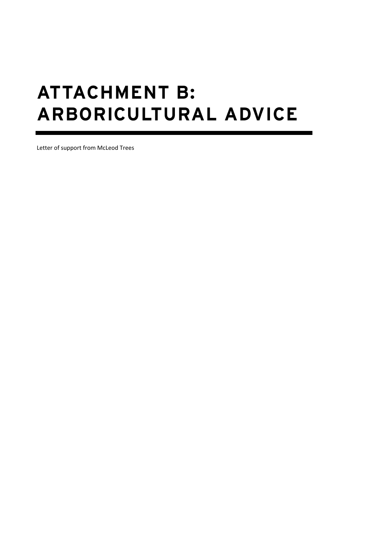## **ATTACHMENT B:** ARBORICULTURAL ADVICE

Letter of support from McLeod Trees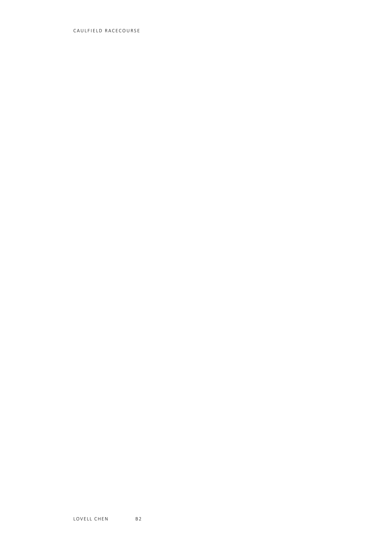## CAULFIELD RACECOURSE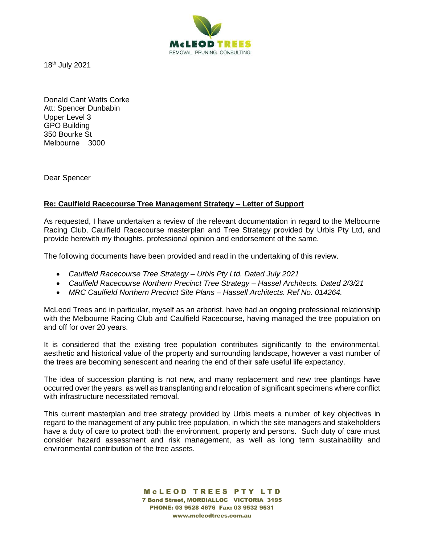

18th July 2021

Donald Cant Watts Corke Att: Spencer Dunbabin Upper Level 3 GPO Building 350 Bourke St Melbourne 3000

Dear Spencer

## **Re: Caulfield Racecourse Tree Management Strategy – Letter of Support**

As requested, I have undertaken a review of the relevant documentation in regard to the Melbourne Racing Club, Caulfield Racecourse masterplan and Tree Strategy provided by Urbis Pty Ltd, and provide herewith my thoughts, professional opinion and endorsement of the same.

The following documents have been provided and read in the undertaking of this review.

- *Caulfield Racecourse Tree Strategy – Urbis Pty Ltd. Dated July 2021*
- *Caulfield Racecourse Northern Precinct Tree Strategy – Hassel Architects. Dated 2/3/21*
- *MRC Caulfield Northern Precinct Site Plans – Hassell Architects. Ref No. 014264.*

McLeod Trees and in particular, myself as an arborist, have had an ongoing professional relationship with the Melbourne Racing Club and Caulfield Racecourse, having managed the tree population on and off for over 20 years.

It is considered that the existing tree population contributes significantly to the environmental, aesthetic and historical value of the property and surrounding landscape, however a vast number of the trees are becoming senescent and nearing the end of their safe useful life expectancy.

The idea of succession planting is not new, and many replacement and new tree plantings have occurred over the years, as well as transplanting and relocation of significant specimens where conflict with infrastructure necessitated removal.

This current masterplan and tree strategy provided by Urbis meets a number of key objectives in regard to the management of any public tree population, in which the site managers and stakeholders have a duty of care to protect both the environment, property and persons. Such duty of care must consider hazard assessment and risk management, as well as long term sustainability and environmental contribution of the tree assets.

> M C L E O D T R E E S P T Y L T D 7 Bond Street, MORDIALLOC VICTORIA 3195 PHONE: 03 9528 4676 Fax: 03 9532 9531 www.mcleodtrees.com.au